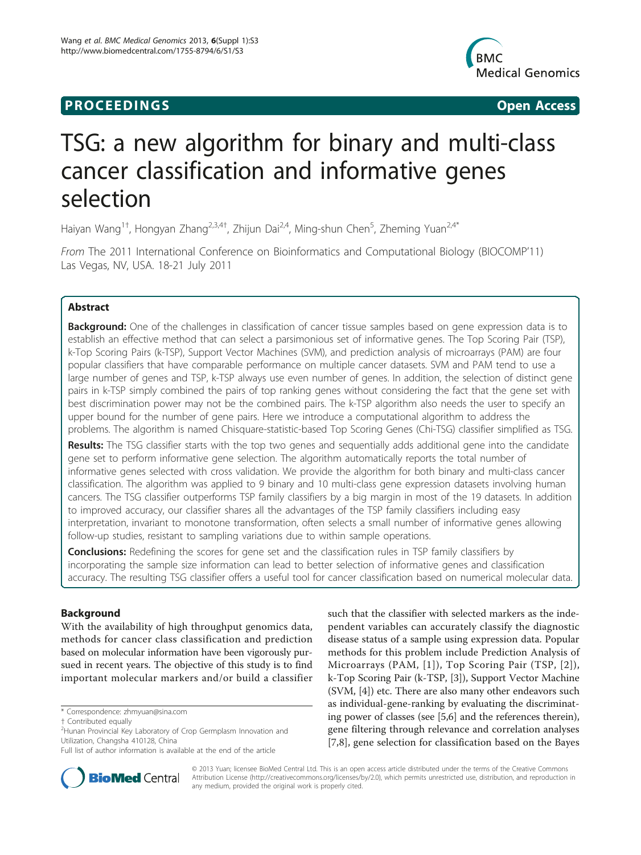# **PROCEEDINGS CONSIDERING SECOND CONSIDERING SECOND CONSIDERING SECOND SECOND SECOND SECOND SECOND SECOND SECOND SECOND SECOND SECOND SECOND SECOND SECOND SECOND SECOND SECOND SECOND SECOND SECOND SECOND SECOND SECOND SEC**



# TSG: a new algorithm for binary and multi-class cancer classification and informative genes selection

Haiyan Wang<sup>1†</sup>, Hongyan Zhang<sup>2,3,4†</sup>, Zhijun Dai<sup>2,4</sup>, Ming-shun Chen<sup>5</sup>, Zheming Yuan<sup>2,4\*</sup>

From The 2011 International Conference on Bioinformatics and Computational Biology (BIOCOMP'11) Las Vegas, NV, USA. 18-21 July 2011

# Abstract

Background: One of the challenges in classification of cancer tissue samples based on gene expression data is to establish an effective method that can select a parsimonious set of informative genes. The Top Scoring Pair (TSP), k-Top Scoring Pairs (k-TSP), Support Vector Machines (SVM), and prediction analysis of microarrays (PAM) are four popular classifiers that have comparable performance on multiple cancer datasets. SVM and PAM tend to use a large number of genes and TSP, k-TSP always use even number of genes. In addition, the selection of distinct gene pairs in k-TSP simply combined the pairs of top ranking genes without considering the fact that the gene set with best discrimination power may not be the combined pairs. The k-TSP algorithm also needs the user to specify an upper bound for the number of gene pairs. Here we introduce a computational algorithm to address the problems. The algorithm is named Chisquare-statistic-based Top Scoring Genes (Chi-TSG) classifier simplified as TSG.

Results: The TSG classifier starts with the top two genes and sequentially adds additional gene into the candidate gene set to perform informative gene selection. The algorithm automatically reports the total number of informative genes selected with cross validation. We provide the algorithm for both binary and multi-class cancer classification. The algorithm was applied to 9 binary and 10 multi-class gene expression datasets involving human cancers. The TSG classifier outperforms TSP family classifiers by a big margin in most of the 19 datasets. In addition to improved accuracy, our classifier shares all the advantages of the TSP family classifiers including easy interpretation, invariant to monotone transformation, often selects a small number of informative genes allowing follow-up studies, resistant to sampling variations due to within sample operations.

**Conclusions:** Redefining the scores for gene set and the classification rules in TSP family classifiers by incorporating the sample size information can lead to better selection of informative genes and classification accuracy. The resulting TSG classifier offers a useful tool for cancer classification based on numerical molecular data.

# Background

With the availability of high throughput genomics data, methods for cancer class classification and prediction based on molecular information have been vigorously pursued in recent years. The objective of this study is to find important molecular markers and/or build a classifier

Full list of author information is available at the end of the article





© 2013 Yuan; licensee BioMed Central Ltd. This is an open access article distributed under the terms of the Creative Commons Attribution License [\(http://creativecommons.org/licenses/by/2.0](http://creativecommons.org/licenses/by/2.0)), which permits unrestricted use, distribution, and reproduction in any medium, provided the original work is properly cited.

<sup>\*</sup> Correspondence: [zhmyuan@sina.com](mailto:zhmyuan@sina.com)

<sup>†</sup> Contributed equally <sup>2</sup>

<sup>&</sup>lt;sup>2</sup>Hunan Provincial Key Laboratory of Crop Germplasm Innovation and Utilization, Changsha 410128, China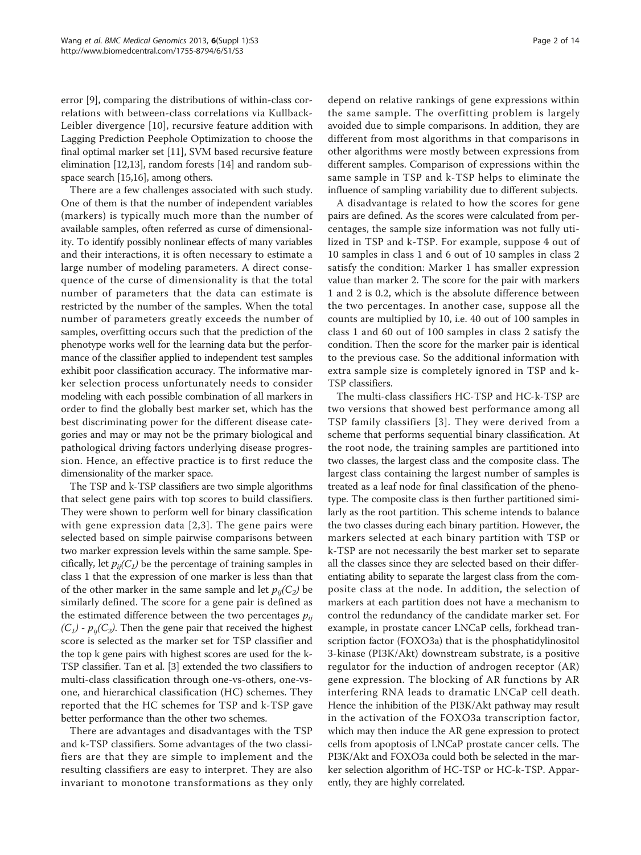error [\[9](#page-12-0)], comparing the distributions of within-class correlations with between-class correlations via Kullback-Leibler divergence [[10](#page-13-0)], recursive feature addition with Lagging Prediction Peephole Optimization to choose the final optimal marker set [\[11\]](#page-13-0), SVM based recursive feature elimination [\[12,13](#page-13-0)], random forests [\[14\]](#page-13-0) and random sub-space search [\[15,16](#page-13-0)], among others.

There are a few challenges associated with such study. One of them is that the number of independent variables (markers) is typically much more than the number of available samples, often referred as curse of dimensionality. To identify possibly nonlinear effects of many variables and their interactions, it is often necessary to estimate a large number of modeling parameters. A direct consequence of the curse of dimensionality is that the total number of parameters that the data can estimate is restricted by the number of the samples. When the total number of parameters greatly exceeds the number of samples, overfitting occurs such that the prediction of the phenotype works well for the learning data but the performance of the classifier applied to independent test samples exhibit poor classification accuracy. The informative marker selection process unfortunately needs to consider modeling with each possible combination of all markers in order to find the globally best marker set, which has the best discriminating power for the different disease categories and may or may not be the primary biological and pathological driving factors underlying disease progression. Hence, an effective practice is to first reduce the dimensionality of the marker space.

The TSP and k-TSP classifiers are two simple algorithms that select gene pairs with top scores to build classifiers. They were shown to perform well for binary classification with gene expression data [[2,3\]](#page-12-0). The gene pairs were selected based on simple pairwise comparisons between two marker expression levels within the same sample. Specifically, let  $p_{ij}(C_1)$  be the percentage of training samples in class 1 that the expression of one marker is less than that of the other marker in the same sample and let  $p_{ii}(C_2)$  be similarly defined. The score for a gene pair is defined as the estimated difference between the two percentages  $p_{ii}$  $(C_1)$  -  $p_{ij}(C_2)$ . Then the gene pair that received the highest score is selected as the marker set for TSP classifier and the top k gene pairs with highest scores are used for the k-TSP classifier. Tan et al. [\[3\]](#page-12-0) extended the two classifiers to multi-class classification through one-vs-others, one-vsone, and hierarchical classification (HC) schemes. They reported that the HC schemes for TSP and k-TSP gave better performance than the other two schemes.

There are advantages and disadvantages with the TSP and k-TSP classifiers. Some advantages of the two classifiers are that they are simple to implement and the resulting classifiers are easy to interpret. They are also invariant to monotone transformations as they only

depend on relative rankings of gene expressions within the same sample. The overfitting problem is largely avoided due to simple comparisons. In addition, they are different from most algorithms in that comparisons in other algorithms were mostly between expressions from different samples. Comparison of expressions within the same sample in TSP and k-TSP helps to eliminate the influence of sampling variability due to different subjects.

A disadvantage is related to how the scores for gene pairs are defined. As the scores were calculated from percentages, the sample size information was not fully utilized in TSP and k-TSP. For example, suppose 4 out of 10 samples in class 1 and 6 out of 10 samples in class 2 satisfy the condition: Marker 1 has smaller expression value than marker 2. The score for the pair with markers 1 and 2 is 0.2, which is the absolute difference between the two percentages. In another case, suppose all the counts are multiplied by 10, i.e. 40 out of 100 samples in class 1 and 60 out of 100 samples in class 2 satisfy the condition. Then the score for the marker pair is identical to the previous case. So the additional information with extra sample size is completely ignored in TSP and k-TSP classifiers.

The multi-class classifiers HC-TSP and HC-k-TSP are two versions that showed best performance among all TSP family classifiers [[3\]](#page-12-0). They were derived from a scheme that performs sequential binary classification. At the root node, the training samples are partitioned into two classes, the largest class and the composite class. The largest class containing the largest number of samples is treated as a leaf node for final classification of the phenotype. The composite class is then further partitioned similarly as the root partition. This scheme intends to balance the two classes during each binary partition. However, the markers selected at each binary partition with TSP or k-TSP are not necessarily the best marker set to separate all the classes since they are selected based on their differentiating ability to separate the largest class from the composite class at the node. In addition, the selection of markers at each partition does not have a mechanism to control the redundancy of the candidate marker set. For example, in prostate cancer LNCaP cells, forkhead transcription factor (FOXO3a) that is the phosphatidylinositol 3-kinase (PI3K/Akt) downstream substrate, is a positive regulator for the induction of androgen receptor (AR) gene expression. The blocking of AR functions by AR interfering RNA leads to dramatic LNCaP cell death. Hence the inhibition of the PI3K/Akt pathway may result in the activation of the FOXO3a transcription factor, which may then induce the AR gene expression to protect cells from apoptosis of LNCaP prostate cancer cells. The PI3K/Akt and FOXO3a could both be selected in the marker selection algorithm of HC-TSP or HC-k-TSP. Apparently, they are highly correlated.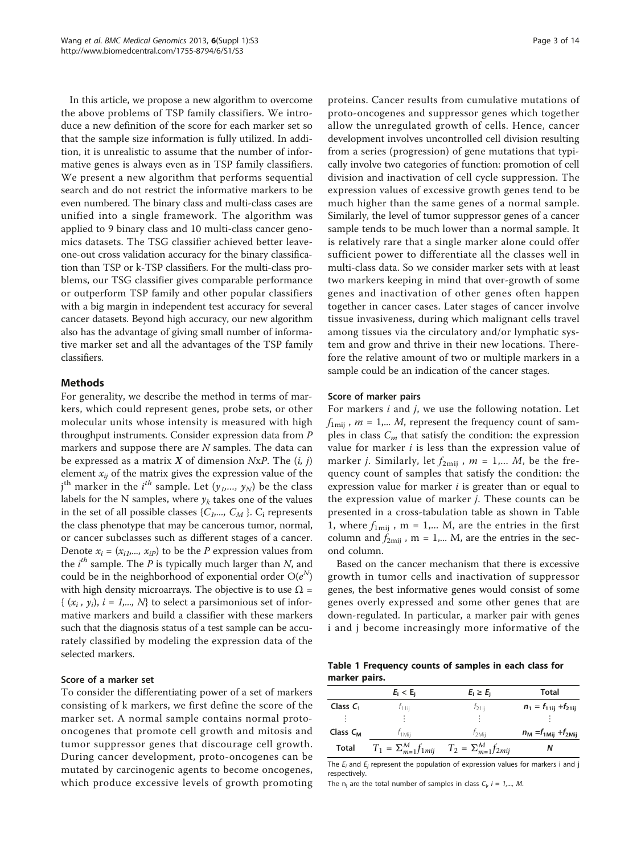<span id="page-2-0"></span>In this article, we propose a new algorithm to overcome the above problems of TSP family classifiers. We introduce a new definition of the score for each marker set so that the sample size information is fully utilized. In addition, it is unrealistic to assume that the number of informative genes is always even as in TSP family classifiers. We present a new algorithm that performs sequential search and do not restrict the informative markers to be even numbered. The binary class and multi-class cases are unified into a single framework. The algorithm was applied to 9 binary class and 10 multi-class cancer genomics datasets. The TSG classifier achieved better leaveone-out cross validation accuracy for the binary classification than TSP or k-TSP classifiers. For the multi-class problems, our TSG classifier gives comparable performance or outperform TSP family and other popular classifiers with a big margin in independent test accuracy for several cancer datasets. Beyond high accuracy, our new algorithm also has the advantage of giving small number of informative marker set and all the advantages of the TSP family classifiers.

# Methods

For generality, we describe the method in terms of markers, which could represent genes, probe sets, or other molecular units whose intensity is measured with high throughput instruments. Consider expression data from P markers and suppose there are  $N$  samples. The data can be expressed as a matrix X of dimension NxP. The  $(i, j)$ element  $x_{ii}$  of the matrix gives the expression value of the  $j<sup>th</sup>$  marker in the  $i<sup>th</sup>$  sample. Let  $(y_1,..., y_N)$  be the class labels for the N samples, where  $y_k$  takes one of the values in the set of all possible classes  $\{C_1,...,C_M\}$ . C<sub>i</sub> represents the class phenotype that may be cancerous tumor, normal, or cancer subclasses such as different stages of a cancer. Denote  $x_i = (x_{i1},..., x_{iP})$  to be the *P* expression values from the  $i^{th}$  sample. The P is typically much larger than N, and could be in the neighborhood of exponential order  $O(e^N)$ with high density microarrays. The objective is to use  $\Omega$  =  $\{(x_i, y_i), i = 1,..., N\}$  to select a parsimonious set of informative markers and build a classifier with these markers such that the diagnosis status of a test sample can be accurately classified by modeling the expression data of the selected markers.

### Score of a marker set

To consider the differentiating power of a set of markers consisting of k markers, we first define the score of the marker set. A normal sample contains normal protooncogenes that promote cell growth and mitosis and tumor suppressor genes that discourage cell growth. During cancer development, proto-oncogenes can be mutated by carcinogenic agents to become oncogenes, which produce excessive levels of growth promoting

proteins. Cancer results from cumulative mutations of proto-oncogenes and suppressor genes which together allow the unregulated growth of cells. Hence, cancer development involves uncontrolled cell division resulting from a series (progression) of gene mutations that typically involve two categories of function: promotion of cell division and inactivation of cell cycle suppression. The expression values of excessive growth genes tend to be much higher than the same genes of a normal sample. Similarly, the level of tumor suppressor genes of a cancer sample tends to be much lower than a normal sample. It is relatively rare that a single marker alone could offer sufficient power to differentiate all the classes well in multi-class data. So we consider marker sets with at least two markers keeping in mind that over-growth of some genes and inactivation of other genes often happen together in cancer cases. Later stages of cancer involve tissue invasiveness, during which malignant cells travel among tissues via the circulatory and/or lymphatic system and grow and thrive in their new locations. Therefore the relative amount of two or multiple markers in a sample could be an indication of the cancer stages.

### Score of marker pairs

For markers *i* and *j*, we use the following notation. Let  $f_{1\text{mij}}$ ,  $m = 1,... M$ , represent the frequency count of samples in class  $C_m$  that satisfy the condition: the expression value for marker  $i$  is less than the expression value of marker *j*. Similarly, let  $f_{2mij}$ ,  $m = 1,... M$ , be the frequency count of samples that satisfy the condition: the expression value for marker  $i$  is greater than or equal to the expression value of marker  $j$ . These counts can be presented in a cross-tabulation table as shown in Table 1, where  $f_{1\text{mij}}$ , m = 1,... M, are the entries in the first column and  $f_{2\text{mij}}$ , m = 1,... M, are the entries in the second column.

Based on the cancer mechanism that there is excessive growth in tumor cells and inactivation of suppressor genes, the best informative genes would consist of some genes overly expressed and some other genes that are down-regulated. In particular, a marker pair with genes i and j become increasingly more informative of the

Table 1 Frequency counts of samples in each class for marker pairs.

|              | $E_i < E_i$                                                     | $E_i \geq E_i$    | Total                                       |
|--------------|-----------------------------------------------------------------|-------------------|---------------------------------------------|
| Class $C_1$  | $r_{\rm 11ii}$                                                  | $r_{21ii}$        | $n_1 = f_{11ij} + f_{21ij}$                 |
|              |                                                                 |                   |                                             |
| Class $C_M$  | $r_{1\text{Mii}}$                                               | $t_{2\text{Mii}}$ | $n_{\rm M} = f_{1\rm{Mij}} + f_{2\rm{Mij}}$ |
| <b>Total</b> | $T_1 = \sum_{m=1}^{M} f_{1mij}$ $T_2 = \sum_{m=1}^{M} f_{2mij}$ |                   |                                             |

The  $E_i$  and  $E_j$  represent the population of expression values for markers i and j respectively.

The  $n_i$  are the total number of samples in class  $C_i$ ,  $i = 1,..., M$ .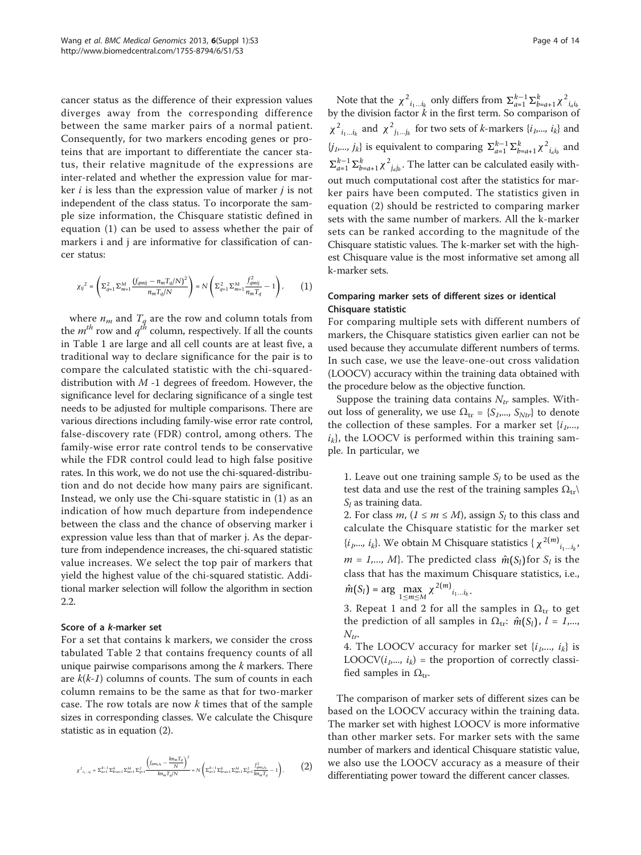cancer status as the difference of their expression values diverges away from the corresponding difference between the same marker pairs of a normal patient. Consequently, for two markers encoding genes or proteins that are important to differentiate the cancer status, their relative magnitude of the expressions are inter-related and whether the expression value for marker  $i$  is less than the expression value of marker  $j$  is not independent of the class status. To incorporate the sample size information, the Chisquare statistic defined in equation (1) can be used to assess whether the pair of markers i and j are informative for classification of cancer status:

$$
{\chi_{ij}}^2 = \left(\Sigma_{q=1}^2\,\Sigma_{m=1}^M\,\frac{(f_{qmij} - n_m T_q/N)^2}{n_m T_q/N}\right) = N\left(\Sigma_{q=1}^2\,\Sigma_{m=1}^M\,\frac{f_{qmij}^2}{n_m T_q} - 1\right),\qquad \quad \ \ (1)
$$

where  $n_m$  and  $T_q$  are the row and column totals from the  $m^{th}$  row and  $q^{th}$  column, respectively. If all the counts in Table [1](#page-2-0) are large and all cell counts are at least five, a traditional way to declare significance for the pair is to compare the calculated statistic with the chi-squareddistribution with  $M$  -1 degrees of freedom. However, the significance level for declaring significance of a single test needs to be adjusted for multiple comparisons. There are various directions including family-wise error rate control, false-discovery rate (FDR) control, among others. The family-wise error rate control tends to be conservative while the FDR control could lead to high false positive rates. In this work, we do not use the chi-squared-distribution and do not decide how many pairs are significant. Instead, we only use the Chi-square statistic in (1) as an indication of how much departure from independence between the class and the chance of observing marker i expression value less than that of marker j. As the departure from independence increases, the chi-squared statistic value increases. We select the top pair of markers that yield the highest value of the chi-squared statistic. Additional marker selection will follow the algorithm in section 2.2.

### Score of a k-marker set

For a set that contains k markers, we consider the cross tabulated Table [2](#page-4-0) that contains frequency counts of all unique pairwise comparisons among the  $k$  markers. There are  $k(k-1)$  columns of counts. The sum of counts in each column remains to be the same as that for two-marker case. The row totals are now  $k$  times that of the sample sizes in corresponding classes. We calculate the Chisqure statistic as in equation (2).

$$
\chi^2_{i_1\ldots i_k} = \Sigma_{a=1}^{k-1}\Sigma_{b=a+1}^k \Sigma_{a=1}^M \Sigma_{a=1}^2 \frac{\left(f_{qmi_4i_5}-\frac{kn_mT_q}{N}\right)^2}{kn_mT_q/N} = N\left(\Sigma_{a=1}^{k-1}\Sigma_{b=a+1}^k \Sigma_{a=1}^M \Sigma_{q=1}^M \Sigma_{q=1}^2 \frac{f_{qmi_4i_5}^2}{kn_mT_q}-1\right), \tag{2}
$$

Note that the  $\chi^2_{i_1...i_k}$  only differs from  $\Sigma_{a=1}^{k-1} \Sigma_{b=a+1}^k \chi^2_{i_a i_b}$  by the division factor *k* in the first term. So comparison of  $\chi^2_{i_1...i_k}$  and  $\chi^2_{j_1...j_k}$  for two sets of *k*-markers  $\{i_1,..., i_k\}$  and  $\{j_1,..., j_k\}$  is equivalent to comparing  $\sum_{a=1}^{k-1} \sum_{b=a+1}^{k} \chi^2_{i_a i_b}$  and  $\sum_{a=1}^{k-1} \sum_{b=a+1}^{k} \chi^2_{j_a j_b}$ . The latter can be calculated easily without much computational cost after the statistics for marker pairs have been computed. The statistics given in equation (2) should be restricted to comparing marker sets with the same number of markers. All the k-marker sets can be ranked according to the magnitude of the Chisquare statistic values. The k-marker set with the highest Chisquare value is the most informative set among all k-marker sets.

# Comparing marker sets of different sizes or identical Chisquare statistic

For comparing multiple sets with different numbers of markers, the Chisquare statistics given earlier can not be used because they accumulate different numbers of terms. In such case, we use the leave-one-out cross validation (LOOCV) accuracy within the training data obtained with the procedure below as the objective function.

Suppose the training data contains  $N_{tr}$  samples. Without loss of generality, we use  $\Omega_{tr} = \{S_1, ..., S_{Ntr}\}\)$  to denote the collection of these samples. For a marker set  $\{i_1,...,i_n\}$  $i_k$ , the LOOCV is performed within this training sample. In particular, we

1. Leave out one training sample  $S_l$  to be used as the test data and use the rest of the training samples  $\Omega_{tr}$  $S_l$  as training data.

2. For class m,  $(1 \le m \le M)$ , assign  $S_l$  to this class and calculate the Chisquare statistic for the marker set  $\{i_1,..., i_k\}$ . We obtain M Chisquare statistics  $\{\chi^{2(m)}\}_{i_1...i_k}$  $m = 1,..., M$ . The predicted class  $\hat{m}(S_l)$  for  $S_l$  is the class that has the maximum Chisquare statistics, i.e.,  $\hat{m}(S_l) = \arg \max_{1 \le m \le M} \chi^{2(m)}_{i_1...i_k}.$ 

3. Repeat 1 and 2 for all the samples in  $\Omega_{tr}$  to get the prediction of all samples in  $\Omega_{\text{tr}}$ :  $\hat{m}(S_l)$ ,  $l = 1,...,$  $N_{tr}$ 

4. The LOOCV accuracy for marker set  $\{i_1,..., i_k\}$  is LOOCV $(i_1,..., i_k)$  = the proportion of correctly classified samples in  $\Omega_{tr}$ .

The comparison of marker sets of different sizes can be based on the LOOCV accuracy within the training data. The marker set with highest LOOCV is more informative than other marker sets. For marker sets with the same number of markers and identical Chisquare statistic value, we also use the LOOCV accuracy as a measure of their differentiating power toward the different cancer classes.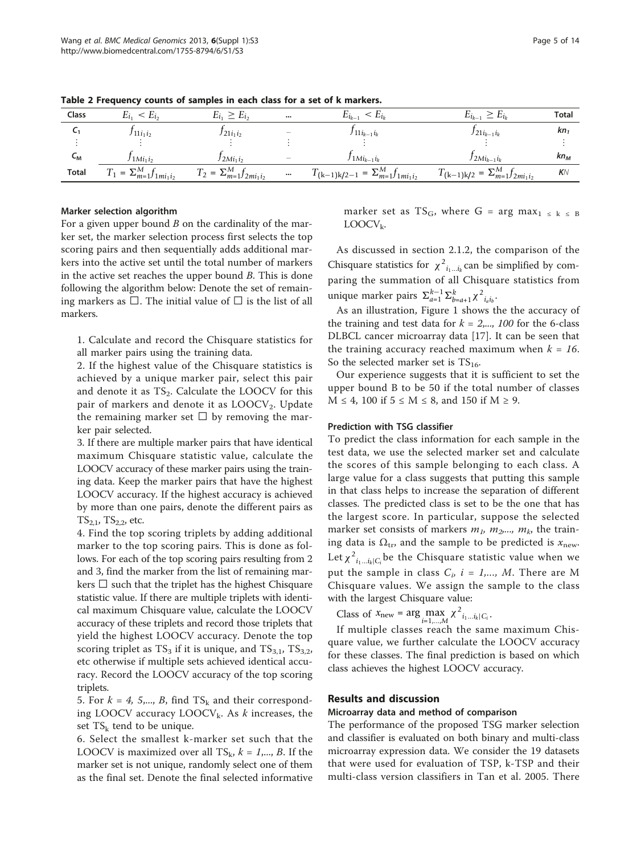| Class | $\leq E_i$                    | $E_{i_1} \geq E_{i_2}$              | $\cdots$ | $E_{i_{k-1}} < E_{i_k}$                        | $E_{i_{k-1}} \geq E_{i_k}$                   | Total           |
|-------|-------------------------------|-------------------------------------|----------|------------------------------------------------|----------------------------------------------|-----------------|
|       | $J_{11i_1i_2}$                | $121i_1i_2$                         |          | $J_{11i_{k-1}i_k}$                             | $J_{21i_{k-1}i_k}$                           | $kn_1$          |
|       |                               |                                     |          |                                                |                                              |                 |
| ⊾     | $J1Mi_1i_2$                   | $J2Mi_1i_2$                         | $\cdots$ | $J1Mi_{k-1}i_k$                                | $J 2Mi_{k-1}i_k$                             | $\mathbf{kn}_M$ |
| Total | $=\sum_{m=1}^{M}f_{1mi_1i_2}$ | $T_2 = \sum_{m=1}^{M} f_{2mi_1i_2}$ | $\cdots$ | $T_{(k-1)k/2-1} = \sum_{m=1}^{M} f_{1mi_1i_2}$ | $T_{(k-1)k/2} = \sum_{m=1}^{M} f_{2mi_1i_2}$ | $K \wedge$      |

<span id="page-4-0"></span>Table 2 Frequency counts of samples in each class for a set of k markers.

### Marker selection algorithm

For a given upper bound  $B$  on the cardinality of the marker set, the marker selection process first selects the top scoring pairs and then sequentially adds additional markers into the active set until the total number of markers in the active set reaches the upper bound B. This is done following the algorithm below: Denote the set of remaining markers as  $\Box$ . The initial value of  $\Box$  is the list of all markers.

1. Calculate and record the Chisquare statistics for all marker pairs using the training data.

2. If the highest value of the Chisquare statistics is achieved by a unique marker pair, select this pair and denote it as  $TS_2$ . Calculate the LOOCV for this pair of markers and denote it as  $LOOCV<sub>2</sub>$ . Update the remaining marker set  $\Box$  by removing the marker pair selected.

3. If there are multiple marker pairs that have identical maximum Chisquare statistic value, calculate the LOOCV accuracy of these marker pairs using the training data. Keep the marker pairs that have the highest LOOCV accuracy. If the highest accuracy is achieved by more than one pairs, denote the different pairs as  $TS_{2,1}$ ,  $TS_{2,2}$ , etc.

4. Find the top scoring triplets by adding additional marker to the top scoring pairs. This is done as follows. For each of the top scoring pairs resulting from 2 and 3, find the marker from the list of remaining markers  $\Box$  such that the triplet has the highest Chisquare statistic value. If there are multiple triplets with identical maximum Chisquare value, calculate the LOOCV accuracy of these triplets and record those triplets that yield the highest LOOCV accuracy. Denote the top scoring triplet as  $TS_3$  if it is unique, and  $TS_{3,1}$ ,  $TS_{3,2}$ , etc otherwise if multiple sets achieved identical accuracy. Record the LOOCV accuracy of the top scoring triplets.

5. For  $k = 4$ , 5,..., B, find TS<sub>k</sub> and their corresponding LOOCV accuracy  $\text{LOOCV}_k$ . As *k* increases, the set  $TS_k$  tend to be unique.

6. Select the smallest k-marker set such that the LOOCV is maximized over all TS<sub>k</sub>,  $k = 1, ..., B$ . If the marker set is not unique, randomly select one of them as the final set. Denote the final selected informative marker set as TS<sub>G</sub>, where G = arg max<sub>1 ≤ k ≤ B</sub>  $LOOCV_{k}$ .

As discussed in section 2.1.2, the comparison of the Chisquare statistics for  $\chi^2_{i_1...i_k}$  can be simplified by comparing the summation of all Chisquare statistics from unique marker pairs  $\sum_{a=1}^{k-1} \sum_{b=a+1}^{k} \chi^2_{i_a i_b}$ .

As an illustration, Figure [1](#page-5-0) shows the the accuracy of the training and test data for  $k = 2,..., 100$  for the 6-class DLBCL cancer microarray data [[17](#page-13-0)]. It can be seen that the training accuracy reached maximum when  $k = 16$ . So the selected marker set is  $TS_{16}$ .

Our experience suggests that it is sufficient to set the upper bound B to be 50 if the total number of classes  $M$  ≤ 4, 100 if 5 ≤ M ≤ 8, and 150 if M ≥ 9.

### Prediction with TSG classifier

To predict the class information for each sample in the test data, we use the selected marker set and calculate the scores of this sample belonging to each class. A large value for a class suggests that putting this sample in that class helps to increase the separation of different classes. The predicted class is set to be the one that has the largest score. In particular, suppose the selected marker set consists of markers  $m_1$ ,  $m_2$ ,  $m_k$ , the training data is  $\Omega_{tr}$ , and the sample to be predicted is  $x_{\text{new}}$ . Let  $\chi^2_{i_1...i_k|C_i}$  be the Chisquare statistic value when we put the sample in class  $C_i$ ,  $i = 1,..., M$ . There are M Chisquare values. We assign the sample to the class with the largest Chisquare value:

Class of  $x_{\text{new}} = \arg \max_{i=1,...,M} \chi^2_{i_1...i_k|C_i}$ .

If multiple classes reach the same maximum Chisquare value, we further calculate the LOOCV accuracy for these classes. The final prediction is based on which class achieves the highest LOOCV accuracy.

# Results and discussion

### Microarray data and method of comparison

The performance of the proposed TSG marker selection and classifier is evaluated on both binary and multi-class microarray expression data. We consider the 19 datasets that were used for evaluation of TSP, k-TSP and their multi-class version classifiers in Tan et al. 2005. There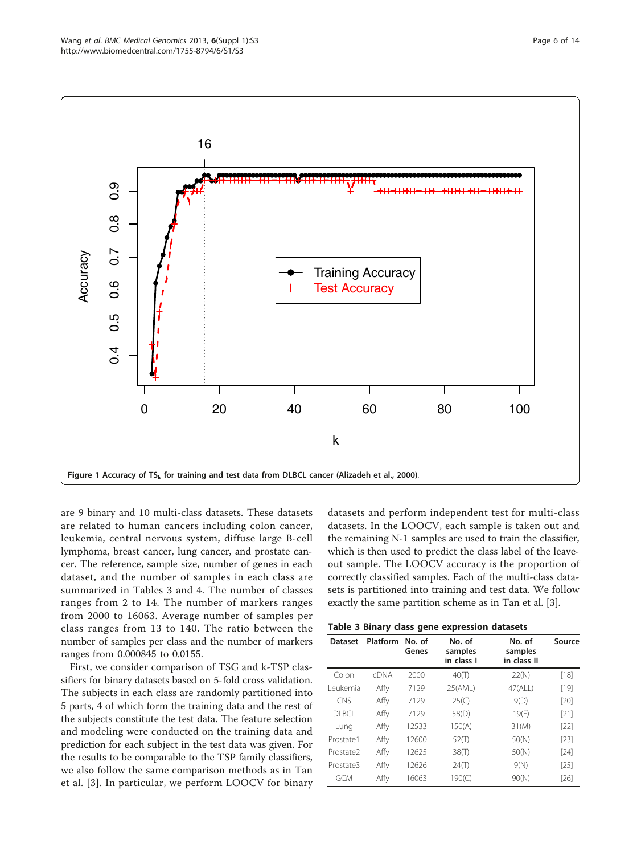<span id="page-5-0"></span>

are 9 binary and 10 multi-class datasets. These datasets are related to human cancers including colon cancer, leukemia, central nervous system, diffuse large B-cell lymphoma, breast cancer, lung cancer, and prostate cancer. The reference, sample size, number of genes in each dataset, and the number of samples in each class are summarized in Tables 3 and [4.](#page-6-0) The number of classes ranges from 2 to 14. The number of markers ranges from 2000 to 16063. Average number of samples per class ranges from 13 to 140. The ratio between the number of samples per class and the number of markers ranges from 0.000845 to 0.0155.

First, we consider comparison of TSG and k-TSP classifiers for binary datasets based on 5-fold cross validation. The subjects in each class are randomly partitioned into 5 parts, 4 of which form the training data and the rest of the subjects constitute the test data. The feature selection and modeling were conducted on the training data and prediction for each subject in the test data was given. For the results to be comparable to the TSP family classifiers, we also follow the same comparison methods as in Tan et al. [[3](#page-12-0)]. In particular, we perform LOOCV for binary datasets and perform independent test for multi-class datasets. In the LOOCV, each sample is taken out and the remaining N-1 samples are used to train the classifier, which is then used to predict the class label of the leaveout sample. The LOOCV accuracy is the proportion of correctly classified samples. Each of the multi-class datasets is partitioned into training and test data. We follow exactly the same partition scheme as in Tan et al. [[3\]](#page-12-0).

|  |  |  |  |  | Table 3 Binary class gene expression datasets |  |
|--|--|--|--|--|-----------------------------------------------|--|
|--|--|--|--|--|-----------------------------------------------|--|

| Dataset               | <b>Platform</b> | No. of<br>Genes | No. of<br>samples<br>in class I | No. of<br>samples<br>in class II | Source |
|-----------------------|-----------------|-----------------|---------------------------------|----------------------------------|--------|
| Colon                 | <b>CDNA</b>     | 2000            | 40(T)                           | 22(N)                            | [18]   |
| Leukemia              | Affy            | 7129            | 25(AML)                         | 47(ALL)                          | [19]   |
| <b>CNS</b>            | Affy            | 7129            | 25(C)                           | 9(D)                             | [20]   |
| $DI$ $BCI$            | Affy            | 7129            | 58(D)                           | 19(F)                            | [21]   |
| Lung                  | Affy            | 12533           | 150(A)                          | 31(M)                            | $[22]$ |
| Prostate1             | Affy            | 12600           | $52$ (T)                        | 50(N)                            | $[23]$ |
| Prostate <sub>2</sub> | Affy            | 12625           | 38(1)                           | 50(N)                            | $[24]$ |
| Prostate3             | Affy            | 12626           | $24$ (T)                        | 9(N)                             | $[25]$ |
| GCM                   | Affy            | 16063           | 190(C)                          | 90(N)                            | [26]   |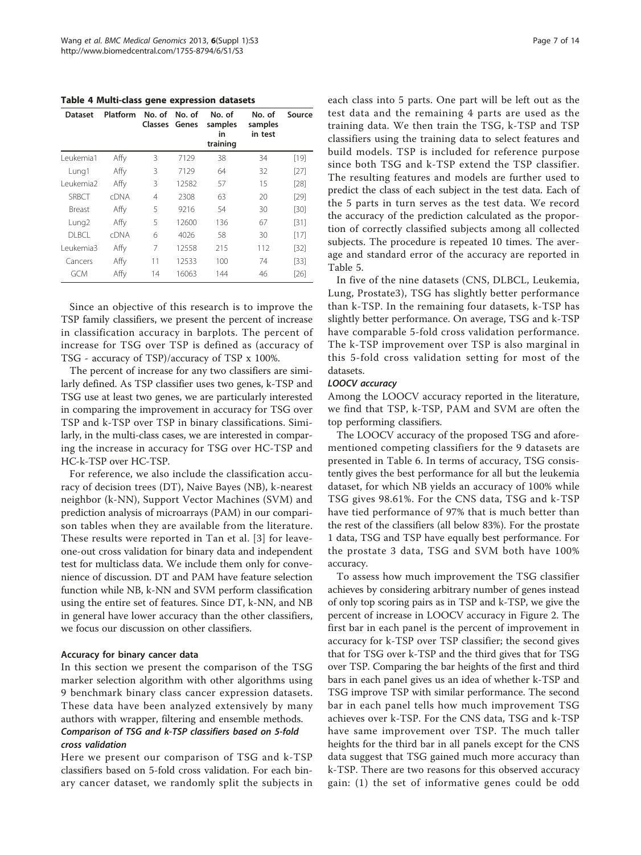<span id="page-6-0"></span>Table 4 Multi-class gene expression datasets

| <b>Dataset</b>    | <b>Platform</b> | No. of<br>Classes | No. of<br>Genes | No. of<br>samples<br>in<br>training | No. of<br>samples<br>in test | Source |
|-------------------|-----------------|-------------------|-----------------|-------------------------------------|------------------------------|--------|
| Leukemia1         | Affy            | 3                 | 7129            | 38                                  | 34                           | $[19]$ |
| Lung1             | Affy            | 3                 | 7129            | 64                                  | 32                           | $[27]$ |
| Leukemia2         | Affy            | 3                 | 12582           | 57                                  | 15                           | [28]   |
| SRBCT             | <b>CDNA</b>     | 4                 | 2308            | 63                                  | 20                           | $[29]$ |
| <b>Breast</b>     | Affy            | 5                 | 9216            | 54                                  | 30                           | $[30]$ |
| Lung <sub>2</sub> | Affy            | 5                 | 12600           | 136                                 | 67                           | [31]   |
| $DI$ $BCI$        | <b>CDNA</b>     | 6                 | 4026            | 58                                  | 30                           | $[17]$ |
| Leukemia3         | Affy            | 7                 | 12558           | 215                                 | 112                          | [32]   |
| Cancers           | Affy            | 11                | 12533           | 100                                 | 74                           | $[33]$ |
| <b>GCM</b>        | Affy            | 14                | 16063           | 144                                 | 46                           | [26]   |

Since an objective of this research is to improve the TSP family classifiers, we present the percent of increase in classification accuracy in barplots. The percent of increase for TSG over TSP is defined as (accuracy of TSG - accuracy of TSP)/accuracy of TSP x 100%.

The percent of increase for any two classifiers are similarly defined. As TSP classifier uses two genes, k-TSP and TSG use at least two genes, we are particularly interested in comparing the improvement in accuracy for TSG over TSP and k-TSP over TSP in binary classifications. Similarly, in the multi-class cases, we are interested in comparing the increase in accuracy for TSG over HC-TSP and HC-k-TSP over HC-TSP.

For reference, we also include the classification accuracy of decision trees (DT), Naive Bayes (NB), k-nearest neighbor (k-NN), Support Vector Machines (SVM) and prediction analysis of microarrays (PAM) in our comparison tables when they are available from the literature. These results were reported in Tan et al. [[3\]](#page-12-0) for leaveone-out cross validation for binary data and independent test for multiclass data. We include them only for convenience of discussion. DT and PAM have feature selection function while NB, k-NN and SVM perform classification using the entire set of features. Since DT, k-NN, and NB in general have lower accuracy than the other classifiers, we focus our discussion on other classifiers.

### Accuracy for binary cancer data

In this section we present the comparison of the TSG marker selection algorithm with other algorithms using 9 benchmark binary class cancer expression datasets. These data have been analyzed extensively by many authors with wrapper, filtering and ensemble methods. Comparison of TSG and k-TSP classifiers based on 5-fold cross validation

Here we present our comparison of TSG and k-TSP classifiers based on 5-fold cross validation. For each binary cancer dataset, we randomly split the subjects in each class into 5 parts. One part will be left out as the test data and the remaining 4 parts are used as the training data. We then train the TSG, k-TSP and TSP classifiers using the training data to select features and build models. TSP is included for reference purpose since both TSG and k-TSP extend the TSP classifier. The resulting features and models are further used to predict the class of each subject in the test data. Each of the 5 parts in turn serves as the test data. We record the accuracy of the prediction calculated as the proportion of correctly classified subjects among all collected subjects. The procedure is repeated 10 times. The average and standard error of the accuracy are reported in Table [5.](#page-7-0)

In five of the nine datasets (CNS, DLBCL, Leukemia, Lung, Prostate3), TSG has slightly better performance than k-TSP. In the remaining four datasets, k-TSP has slightly better performance. On average, TSG and k-TSP have comparable 5-fold cross validation performance. The k-TSP improvement over TSP is also marginal in this 5-fold cross validation setting for most of the datasets.

### LOOCV accuracy

Among the LOOCV accuracy reported in the literature, we find that TSP, k-TSP, PAM and SVM are often the top performing classifiers.

The LOOCV accuracy of the proposed TSG and aforementioned competing classifiers for the 9 datasets are presented in Table [6.](#page-7-0) In terms of accuracy, TSG consistently gives the best performance for all but the leukemia dataset, for which NB yields an accuracy of 100% while TSG gives 98.61%. For the CNS data, TSG and k-TSP have tied performance of 97% that is much better than the rest of the classifiers (all below 83%). For the prostate 1 data, TSG and TSP have equally best performance. For the prostate 3 data, TSG and SVM both have 100% accuracy.

To assess how much improvement the TSG classifier achieves by considering arbitrary number of genes instead of only top scoring pairs as in TSP and k-TSP, we give the percent of increase in LOOCV accuracy in Figure [2](#page-8-0). The first bar in each panel is the percent of improvement in accuracy for k-TSP over TSP classifier; the second gives that for TSG over k-TSP and the third gives that for TSG over TSP. Comparing the bar heights of the first and third bars in each panel gives us an idea of whether k-TSP and TSG improve TSP with similar performance. The second bar in each panel tells how much improvement TSG achieves over k-TSP. For the CNS data, TSG and k-TSP have same improvement over TSP. The much taller heights for the third bar in all panels except for the CNS data suggest that TSG gained much more accuracy than k-TSP. There are two reasons for this observed accuracy gain: (1) the set of informative genes could be odd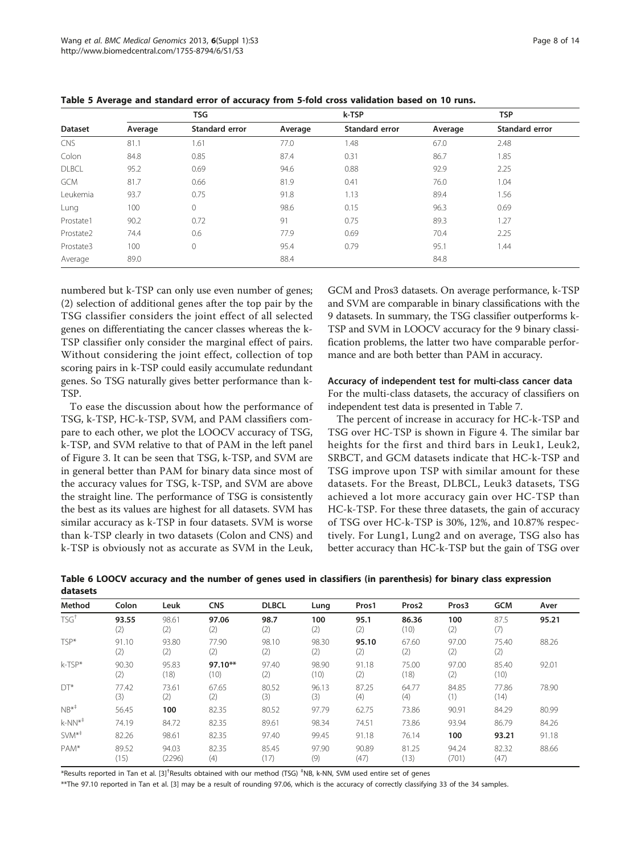|                |         | <b>TSG</b>            |         | k-TSP          |         |                |  |
|----------------|---------|-----------------------|---------|----------------|---------|----------------|--|
| <b>Dataset</b> | Average | <b>Standard error</b> | Average | Standard error | Average | Standard error |  |
| CNS            | 81.1    | 1.61                  | 77.0    | 1.48           | 67.0    | 2.48           |  |
| Colon          | 84.8    | 0.85                  | 87.4    | 0.31           | 86.7    | 1.85           |  |
| <b>DLBCL</b>   | 95.2    | 0.69                  | 94.6    | 0.88           | 92.9    | 2.25           |  |
| <b>GCM</b>     | 81.7    | 0.66                  | 81.9    | 0.41           | 76.0    | 1.04           |  |
| Leukemia       | 93.7    | 0.75                  | 91.8    | 1.13           | 89.4    | 1.56           |  |
| Lung           | 100     | 0                     | 98.6    | 0.15           | 96.3    | 0.69           |  |
| Prostate1      | 90.2    | 0.72                  | 91      | 0.75           | 89.3    | 1.27           |  |
| Prostate2      | 74.4    | 0.6                   | 77.9    | 0.69           | 70.4    | 2.25           |  |
| Prostate3      | 100     | 0                     | 95.4    | 0.79           | 95.1    | 1.44           |  |
| Average        | 89.0    |                       | 88.4    |                | 84.8    |                |  |

<span id="page-7-0"></span>Table 5 Average and standard error of accuracy from 5-fold cross validation based on 10 runs.

numbered but k-TSP can only use even number of genes; (2) selection of additional genes after the top pair by the TSG classifier considers the joint effect of all selected genes on differentiating the cancer classes whereas the k-TSP classifier only consider the marginal effect of pairs. Without considering the joint effect, collection of top scoring pairs in k-TSP could easily accumulate redundant genes. So TSG naturally gives better performance than k-TSP.

To ease the discussion about how the performance of TSG, k-TSP, HC-k-TSP, SVM, and PAM classifiers compare to each other, we plot the LOOCV accuracy of TSG, k-TSP, and SVM relative to that of PAM in the left panel of Figure [3.](#page-9-0) It can be seen that TSG, k-TSP, and SVM are in general better than PAM for binary data since most of the accuracy values for TSG, k-TSP, and SVM are above the straight line. The performance of TSG is consistently the best as its values are highest for all datasets. SVM has similar accuracy as k-TSP in four datasets. SVM is worse than k-TSP clearly in two datasets (Colon and CNS) and k-TSP is obviously not as accurate as SVM in the Leuk,

GCM and Pros3 datasets. On average performance, k-TSP and SVM are comparable in binary classifications with the 9 datasets. In summary, the TSG classifier outperforms k-TSP and SVM in LOOCV accuracy for the 9 binary classification problems, the latter two have comparable performance and are both better than PAM in accuracy.

# Accuracy of independent test for multi-class cancer data For the multi-class datasets, the accuracy of classifiers on

independent test data is presented in Table [7.](#page-9-0) The percent of increase in accuracy for HC-k-TSP and

TSG over HC-TSP is shown in Figure [4.](#page-10-0) The similar bar heights for the first and third bars in Leuk1, Leuk2, SRBCT, and GCM datasets indicate that HC-k-TSP and TSG improve upon TSP with similar amount for these datasets. For the Breast, DLBCL, Leuk3 datasets, TSG achieved a lot more accuracy gain over HC-TSP than HC-k-TSP. For these three datasets, the gain of accuracy of TSG over HC-k-TSP is 30%, 12%, and 10.87% respectively. For Lung1, Lung2 and on average, TSG also has better accuracy than HC-k-TSP but the gain of TSG over

| Method                   | Colon         | Leuk            | <b>CNS</b>        | <b>DLBCL</b>  | Lung          | Pros1         | Pros <sub>2</sub> | Pros3          | <b>GCM</b>    | Aver  |
|--------------------------|---------------|-----------------|-------------------|---------------|---------------|---------------|-------------------|----------------|---------------|-------|
| TSG <sup>†</sup>         | 93.55<br>(2)  | 98.61<br>(2)    | 97.06<br>(2)      | 98.7<br>(2)   | 100<br>(2)    | 95.1<br>(2)   | 86.36<br>(10)     | 100<br>(2)     | 87.5<br>(7)   | 95.21 |
| TSP*                     | 91.10<br>(2)  | 93.80<br>(2)    | 77.90<br>(2)      | 98.10<br>(2)  | 98.30<br>(2)  | 95.10<br>(2)  | 67.60<br>(2)      | 97.00<br>(2)   | 75.40<br>(2)  | 88.26 |
| $k$ -TSP*                | 90.30<br>(2)  | 95.83<br>(18)   | $97.10**$<br>(10) | 97.40<br>(2)  | 98.90<br>(10) | 91.18<br>(2)  | 75.00<br>(18)     | 97.00<br>(2)   | 85.40<br>(10) | 92.01 |
| $DT*$                    | 77.42<br>(3)  | 73.61<br>(2)    | 67.65<br>(2)      | 80.52<br>(3)  | 96.13<br>(3)  | 87.25<br>(4)  | 64.77<br>(4)      | 84.85<br>(1)   | 77.86<br>(14) | 78.90 |
| $NB**$                   | 56.45         | 100             | 82.35             | 80.52         | 97.79         | 62.75         | 73.86             | 90.91          | 84.29         | 80.99 |
| $k$ -NN $*$ <sup>+</sup> | 74.19         | 84.72           | 82.35             | 89.61         | 98.34         | 74.51         | 73.86             | 93.94          | 86.79         | 84.26 |
| $SVM*^{\ddagger}$        | 82.26         | 98.61           | 82.35             | 97.40         | 99.45         | 91.18         | 76.14             | 100            | 93.21         | 91.18 |
| PAM*                     | 89.52<br>(15) | 94.03<br>(2296) | 82.35<br>(4)      | 85.45<br>(17) | 97.90<br>(9)  | 90.89<br>(47) | 81.25<br>(13)     | 94.24<br>(701) | 82.32<br>(47) | 88.66 |

Table 6 LOOCV accuracy and the number of genes used in classifiers (in parenthesis) for binary class expression datasets

\*Results reported in Tan et al. [[3](#page-12-0)]<sup>†</sup>Results obtained with our method (TSG) <sup>‡</sup>NB, k-NN, SVM used entire set of genes

\*\*The 97.10 reported in Tan et al. [[3](#page-12-0)] may be a result of rounding 97.06, which is the accuracy of correctly classifying 33 of the 34 samples.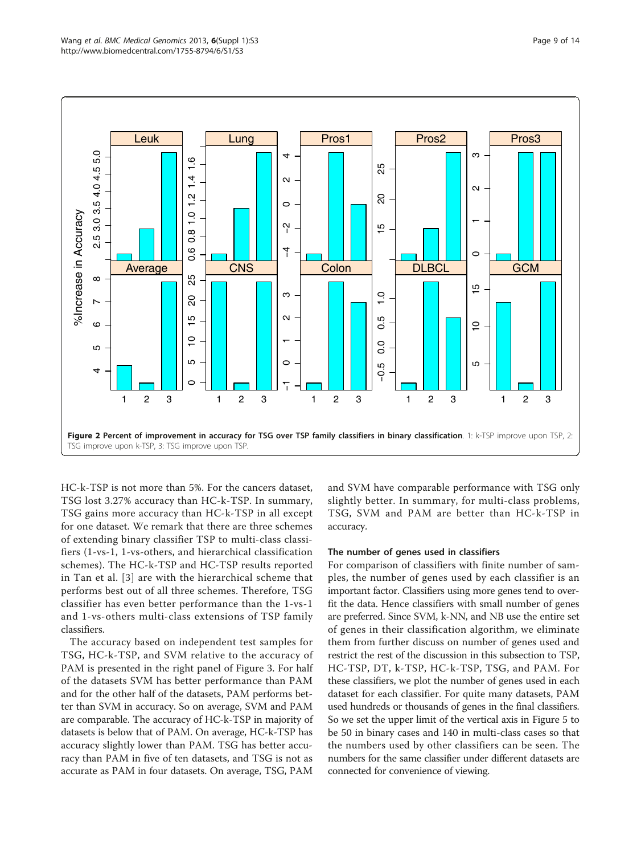<span id="page-8-0"></span>

HC-k-TSP is not more than 5%. For the cancers dataset, TSG lost 3.27% accuracy than HC-k-TSP. In summary, TSG gains more accuracy than HC-k-TSP in all except for one dataset. We remark that there are three schemes of extending binary classifier TSP to multi-class classifiers (1-vs-1, 1-vs-others, and hierarchical classification schemes). The HC-k-TSP and HC-TSP results reported in Tan et al. [[3\]](#page-12-0) are with the hierarchical scheme that performs best out of all three schemes. Therefore, TSG classifier has even better performance than the 1-vs-1 and 1-vs-others multi-class extensions of TSP family classifiers.

The accuracy based on independent test samples for TSG, HC-k-TSP, and SVM relative to the accuracy of PAM is presented in the right panel of Figure [3](#page-9-0). For half of the datasets SVM has better performance than PAM and for the other half of the datasets, PAM performs better than SVM in accuracy. So on average, SVM and PAM are comparable. The accuracy of HC-k-TSP in majority of datasets is below that of PAM. On average, HC-k-TSP has accuracy slightly lower than PAM. TSG has better accuracy than PAM in five of ten datasets, and TSG is not as accurate as PAM in four datasets. On average, TSG, PAM

and SVM have comparable performance with TSG only slightly better. In summary, for multi-class problems, TSG, SVM and PAM are better than HC-k-TSP in accuracy.

### The number of genes used in classifiers

For comparison of classifiers with finite number of samples, the number of genes used by each classifier is an important factor. Classifiers using more genes tend to overfit the data. Hence classifiers with small number of genes are preferred. Since SVM, k-NN, and NB use the entire set of genes in their classification algorithm, we eliminate them from further discuss on number of genes used and restrict the rest of the discussion in this subsection to TSP, HC-TSP, DT, k-TSP, HC-k-TSP, TSG, and PAM. For these classifiers, we plot the number of genes used in each dataset for each classifier. For quite many datasets, PAM used hundreds or thousands of genes in the final classifiers. So we set the upper limit of the vertical axis in Figure [5](#page-11-0) to be 50 in binary cases and 140 in multi-class cases so that the numbers used by other classifiers can be seen. The numbers for the same classifier under different datasets are connected for convenience of viewing.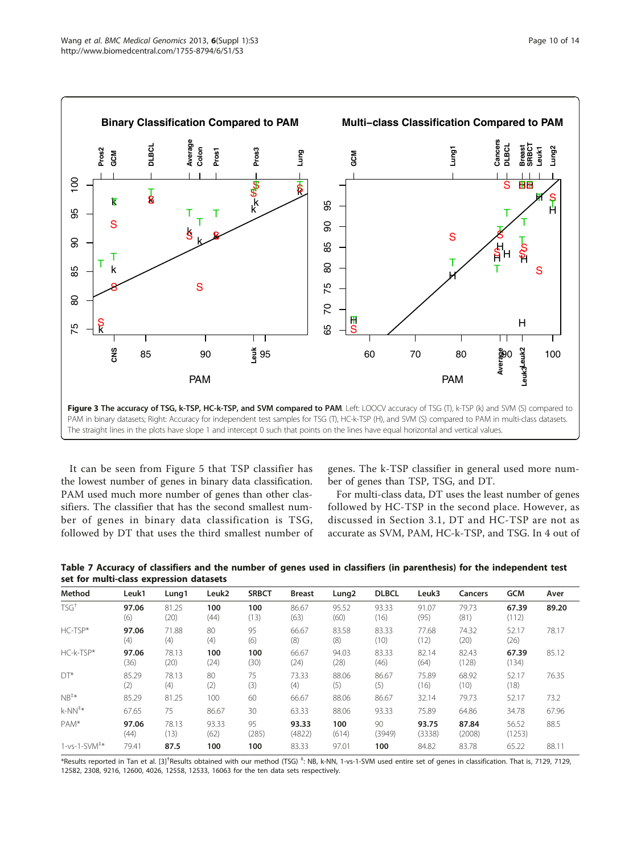<span id="page-9-0"></span>

It can be seen from Figure [5](#page-11-0) that TSP classifier has the lowest number of genes in binary data classification. PAM used much more number of genes than other classifiers. The classifier that has the second smallest number of genes in binary data classification is TSG, followed by DT that uses the third smallest number of genes. The k-TSP classifier in general used more number of genes than TSP, TSG, and DT.

For multi-class data, DT uses the least number of genes followed by HC-TSP in the second place. However, as discussed in Section 3.1, DT and HC-TSP are not as accurate as SVM, PAM, HC-k-TSP, and TSG. In 4 out of

| <b>Method</b>        | Leuk1         | Lung1         | Leuk <sub>2</sub> | <b>SRBCT</b> | <b>Breast</b>   | Lung <sub>2</sub> | <b>DLBCL</b>  | Leuk3           | Cancers         | <b>GCM</b>      | Aver  |
|----------------------|---------------|---------------|-------------------|--------------|-----------------|-------------------|---------------|-----------------|-----------------|-----------------|-------|
| TSG <sup>†</sup>     | 97.06<br>(6)  | 81.25<br>(20) | 100<br>(44)       | 100<br>(13)  | 86.67<br>(63)   | 95.52<br>(60)     | 93.33<br>(16) | 91.07<br>(95)   | 79.73<br>(81)   | 67.39<br>(112)  | 89.20 |
| HC-TSP*              | 97.06<br>(4)  | 71.88<br>(4)  | 80<br>(4)         | 95<br>(6)    | 66.67<br>(8)    | 83.58<br>(8)      | 83.33<br>(10) | 77.68<br>(12)   | 74.32<br>(20)   | 52.17<br>(26)   | 78.17 |
| HC-k-TSP*            | 97.06<br>(36) | 78.13<br>(20) | 100<br>(24)       | 100<br>(30)  | 66.67<br>(24)   | 94.03<br>(28)     | 83.33<br>(46) | 82.14<br>(64)   | 82.43<br>(128)  | 67.39<br>(134)  | 85.12 |
| $DT*$                | 85.29<br>(2)  | 78.13<br>(4)  | 80<br>(2)         | 75<br>(3)    | 73.33<br>(4)    | 88.06<br>(5)      | 86.67<br>(5)  | 75.89<br>(16)   | 68.92<br>(10)   | 52.17<br>(18)   | 76.35 |
| $NB^{\ddagger*}$     | 85.29         | 81.25         | 100               | 60           | 66.67           | 88.06             | 86.67         | 32.14           | 79.73           | 52.17           | 73.2  |
| $k-NN^{\ddagger*}$   | 67.65         | 75            | 86.67             | 30           | 63.33           | 88.06             | 93.33         | 75.89           | 64.86           | 34.78           | 67.96 |
| PAM*                 | 97.06<br>(44) | 78.13<br>(13) | 93.33<br>(62)     | 95<br>(285)  | 93.33<br>(4822) | 100<br>(614)      | 90<br>(3949)  | 93.75<br>(3338) | 87.84<br>(2008) | 56.52<br>(1253) | 88.5  |
| $1 - vs - 1 - SVM^+$ | 79.41         | 87.5          | 100               | 100          | 83.33           | 97.01             | 100           | 84.82           | 83.78           | 65.22           | 88.11 |

Table 7 Accuracy of classifiers and the number of genes used in classifiers (in parenthesis) for the independent test set for multi-class expression datasets

\*Results reported in Tan et al. [[3](#page-12-0)]†Results obtained with our method (TSG)  $^{\ddagger}$ : NB, k-NN, 1-vs-1-SVM used entire set of genes in classification. That is, 7129, 7129, 12582, 2308, 9216, 12600, 4026, 12558, 12533, 16063 for the ten data sets respectively.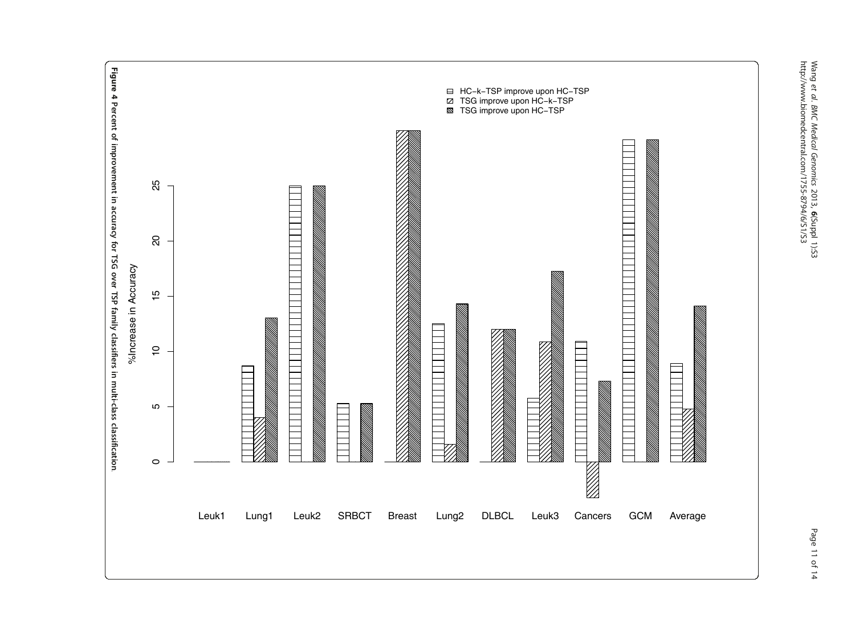<span id="page-10-0"></span>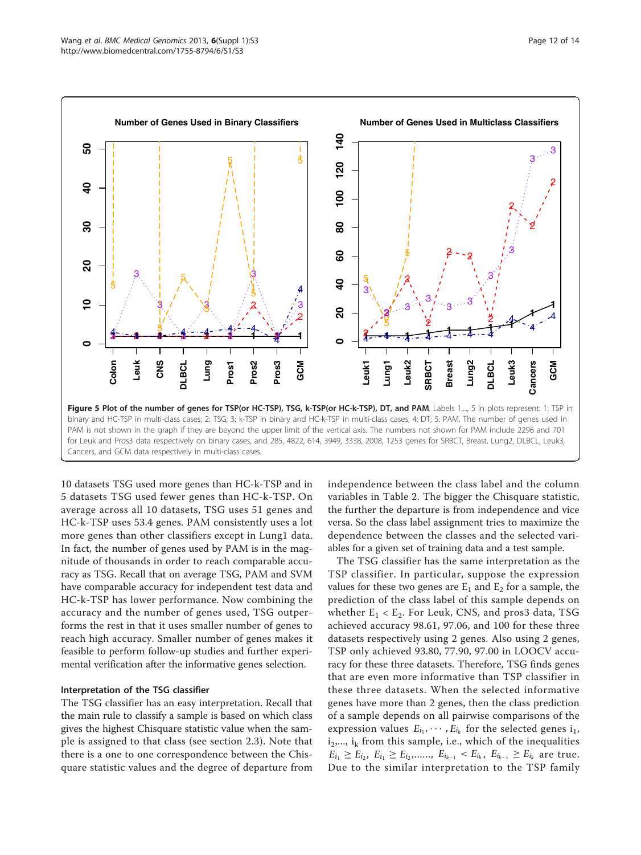<span id="page-11-0"></span>

10 datasets TSG used more genes than HC-k-TSP and in 5 datasets TSG used fewer genes than HC-k-TSP. On average across all 10 datasets, TSG uses 51 genes and HC-k-TSP uses 53.4 genes. PAM consistently uses a lot more genes than other classifiers except in Lung1 data. In fact, the number of genes used by PAM is in the magnitude of thousands in order to reach comparable accuracy as TSG. Recall that on average TSG, PAM and SVM have comparable accuracy for independent test data and HC-k-TSP has lower performance. Now combining the accuracy and the number of genes used, TSG outperforms the rest in that it uses smaller number of genes to reach high accuracy. Smaller number of genes makes it feasible to perform follow-up studies and further experimental verification after the informative genes selection.

# Interpretation of the TSG classifier

The TSG classifier has an easy interpretation. Recall that the main rule to classify a sample is based on which class gives the highest Chisquare statistic value when the sample is assigned to that class (see section 2.3). Note that there is a one to one correspondence between the Chisquare statistic values and the degree of departure from independence between the class label and the column variables in Table [2.](#page-4-0) The bigger the Chisquare statistic, the further the departure is from independence and vice versa. So the class label assignment tries to maximize the dependence between the classes and the selected variables for a given set of training data and a test sample.

The TSG classifier has the same interpretation as the TSP classifier. In particular, suppose the expression values for these two genes are  $E_1$  and  $E_2$  for a sample, the prediction of the class label of this sample depends on whether  $E_1$  <  $E_2$ . For Leuk, CNS, and pros3 data, TSG achieved accuracy 98.61, 97.06, and 100 for these three datasets respectively using 2 genes. Also using 2 genes, TSP only achieved 93.80, 77.90, 97.00 in LOOCV accuracy for these three datasets. Therefore, TSG finds genes that are even more informative than TSP classifier in these three datasets. When the selected informative genes have more than 2 genes, then the class prediction of a sample depends on all pairwise comparisons of the expression values  $E_{i_1}, \cdots, E_{i_k}$  for the selected genes i<sub>1</sub>,  $i_2$ ,...,  $i_k$  from this sample, i.e., which of the inequalities  $E_{i_1}$  ≥  $E_{i_2}$ ,  $E_{i_1}$  ≥  $E_{i_2}$ ,.....,  $E_{i_{k-1}}$  <  $E_{i_k}$ ,  $E_{i_{k-1}}$  ≥  $E_{i_k}$  are true. Due to the similar interpretation to the TSP family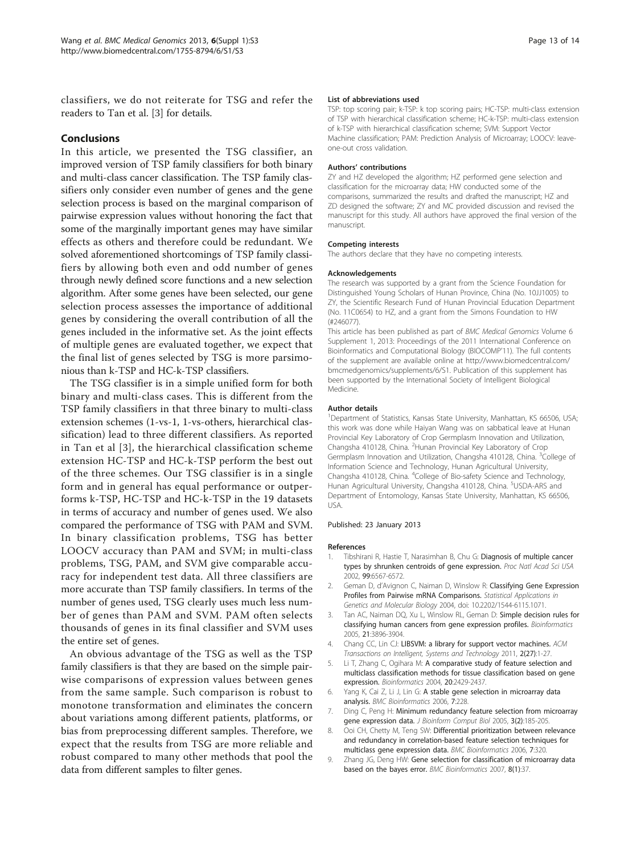<span id="page-12-0"></span>classifiers, we do not reiterate for TSG and refer the readers to Tan et al. [3] for details.

### Conclusions

In this article, we presented the TSG classifier, an improved version of TSP family classifiers for both binary and multi-class cancer classification. The TSP family classifiers only consider even number of genes and the gene selection process is based on the marginal comparison of pairwise expression values without honoring the fact that some of the marginally important genes may have similar effects as others and therefore could be redundant. We solved aforementioned shortcomings of TSP family classifiers by allowing both even and odd number of genes through newly defined score functions and a new selection algorithm. After some genes have been selected, our gene selection process assesses the importance of additional genes by considering the overall contribution of all the genes included in the informative set. As the joint effects of multiple genes are evaluated together, we expect that the final list of genes selected by TSG is more parsimonious than k-TSP and HC-k-TSP classifiers.

The TSG classifier is in a simple unified form for both binary and multi-class cases. This is different from the TSP family classifiers in that three binary to multi-class extension schemes (1-vs-1, 1-vs-others, hierarchical classification) lead to three different classifiers. As reported in Tan et al [3], the hierarchical classification scheme extension HC-TSP and HC-k-TSP perform the best out of the three schemes. Our TSG classifier is in a single form and in general has equal performance or outperforms k-TSP, HC-TSP and HC-k-TSP in the 19 datasets in terms of accuracy and number of genes used. We also compared the performance of TSG with PAM and SVM. In binary classification problems, TSG has better LOOCV accuracy than PAM and SVM; in multi-class problems, TSG, PAM, and SVM give comparable accuracy for independent test data. All three classifiers are more accurate than TSP family classifiers. In terms of the number of genes used, TSG clearly uses much less number of genes than PAM and SVM. PAM often selects thousands of genes in its final classifier and SVM uses the entire set of genes.

An obvious advantage of the TSG as well as the TSP family classifiers is that they are based on the simple pairwise comparisons of expression values between genes from the same sample. Such comparison is robust to monotone transformation and eliminates the concern about variations among different patients, platforms, or bias from preprocessing different samples. Therefore, we expect that the results from TSG are more reliable and robust compared to many other methods that pool the data from different samples to filter genes.

### List of abbreviations used

TSP: top scoring pair; k-TSP: k top scoring pairs; HC-TSP: multi-class extension of TSP with hierarchical classification scheme; HC-k-TSP: multi-class extension of k-TSP with hierarchical classification scheme; SVM: Support Vector Machine classification; PAM: Prediction Analysis of Microarray; LOOCV: leaveone-out cross validation.

### Authors' contributions

ZY and HZ developed the algorithm; HZ performed gene selection and classification for the microarray data; HW conducted some of the comparisons, summarized the results and drafted the manuscript; HZ and ZD designed the software; ZY and MC provided discussion and revised the manuscript for this study. All authors have approved the final version of the manuscript.

### Competing interests

The authors declare that they have no competing interests.

#### Acknowledgements

The research was supported by a grant from the Science Foundation for Distinguished Young Scholars of Hunan Province, China (No. 10JJ1005) to ZY, the Scientific Research Fund of Hunan Provincial Education Department (No. 11C0654) to HZ, and a grant from the Simons Foundation to HW (#246077).

This article has been published as part of BMC Medical Genomics Volume 6 Supplement 1, 2013: Proceedings of the 2011 International Conference on Bioinformatics and Computational Biology (BIOCOMP'11). The full contents of the supplement are available online at [http://www.biomedcentral.com/](http://www.biomedcentral.com/bmcmedgenomics/supplements/6/S1) [bmcmedgenomics/supplements/6/S1.](http://www.biomedcentral.com/bmcmedgenomics/supplements/6/S1) Publication of this supplement has been supported by the International Society of Intelligent Biological Medicine.

#### Author details

<sup>1</sup>Department of Statistics, Kansas State University, Manhattan, KS 66506, USA this work was done while Haiyan Wang was on sabbatical leave at Hunan Provincial Key Laboratory of Crop Germplasm Innovation and Utilization, Changsha 410128, China. <sup>2</sup> Hunan Provincial Key Laboratory of Crop Germplasm Innovation and Utilization, Changsha 410128, China. <sup>3</sup>College of Information Science and Technology, Hunan Agricultural University, Changsha 410128, China. <sup>4</sup>College of Bio-safety Science and Technology Hunan Agricultural University, Changsha 410128, China. <sup>5</sup>USDA-ARS and Department of Entomology, Kansas State University, Manhattan, KS 66506, USA.

#### Published: 23 January 2013

#### References

- Tibshirani R, Hastie T, Narasimhan B, Chu G: [Diagnosis of multiple cancer](http://www.ncbi.nlm.nih.gov/pubmed/12011421?dopt=Abstract) [types by shrunken centroids of gene expression.](http://www.ncbi.nlm.nih.gov/pubmed/12011421?dopt=Abstract) Proc Natl Acad Sci USA 2002, 99:6567-6572.
- 2. Geman D, d'Avignon C, Naiman D, Winslow R: Classifying Gene Expression Profiles from Pairwise mRNA Comparisons. Statistical Applications in Genetics and Molecular Biology 2004, doi: 10.2202/1544-6115.1071.
- 3. Tan AC, Naiman DQ, Xu L, Winslow RL, Geman D: [Simple decision rules for](http://www.ncbi.nlm.nih.gov/pubmed/16105897?dopt=Abstract) [classifying human cancers from gene expression profiles.](http://www.ncbi.nlm.nih.gov/pubmed/16105897?dopt=Abstract) Bioinformatics 2005, 21:3896-3904.
- 4. Chang CC, Lin CJ: LIBSVM: a library for support vector machines. ACM Transactions on Intelligent, Systems and Technology 2011, 2(27):1-27.
- 5. Li T, Zhang C, Ogihara M: [A comparative study of feature selection and](http://www.ncbi.nlm.nih.gov/pubmed/15087314?dopt=Abstract) [multiclass classification methods for tissue classification based on gene](http://www.ncbi.nlm.nih.gov/pubmed/15087314?dopt=Abstract) [expression.](http://www.ncbi.nlm.nih.gov/pubmed/15087314?dopt=Abstract) Bioinformatics 2004, 20:2429-2437.
- 6. Yang K, Cai Z, Li J, Lin G: [A stable gene selection in microarray data](http://www.ncbi.nlm.nih.gov/pubmed/16643657?dopt=Abstract) [analysis.](http://www.ncbi.nlm.nih.gov/pubmed/16643657?dopt=Abstract) BMC Bioinformatics 2006, 7:228.
- 7. Ding C, Peng H: [Minimum redundancy feature selection from microarray](http://www.ncbi.nlm.nih.gov/pubmed/15852500?dopt=Abstract) [gene expression data.](http://www.ncbi.nlm.nih.gov/pubmed/15852500?dopt=Abstract) J Bioinform Comput Biol 2005, 3(2):185-205.
- 8. Ooi CH, Chetty M, Teng SW: [Differential prioritization between relevance](http://www.ncbi.nlm.nih.gov/pubmed/16796748?dopt=Abstract) [and redundancy in correlation-based feature selection techniques for](http://www.ncbi.nlm.nih.gov/pubmed/16796748?dopt=Abstract) [multiclass gene expression data.](http://www.ncbi.nlm.nih.gov/pubmed/16796748?dopt=Abstract) BMC Bioinformatics 2006, 7:320.
- 9. Zhang JG, Deng HW: [Gene selection for classification of microarray data](http://www.ncbi.nlm.nih.gov/pubmed/17270045?dopt=Abstract) [based on the bayes error.](http://www.ncbi.nlm.nih.gov/pubmed/17270045?dopt=Abstract) BMC Bioinformatics 2007, 8(1):37.